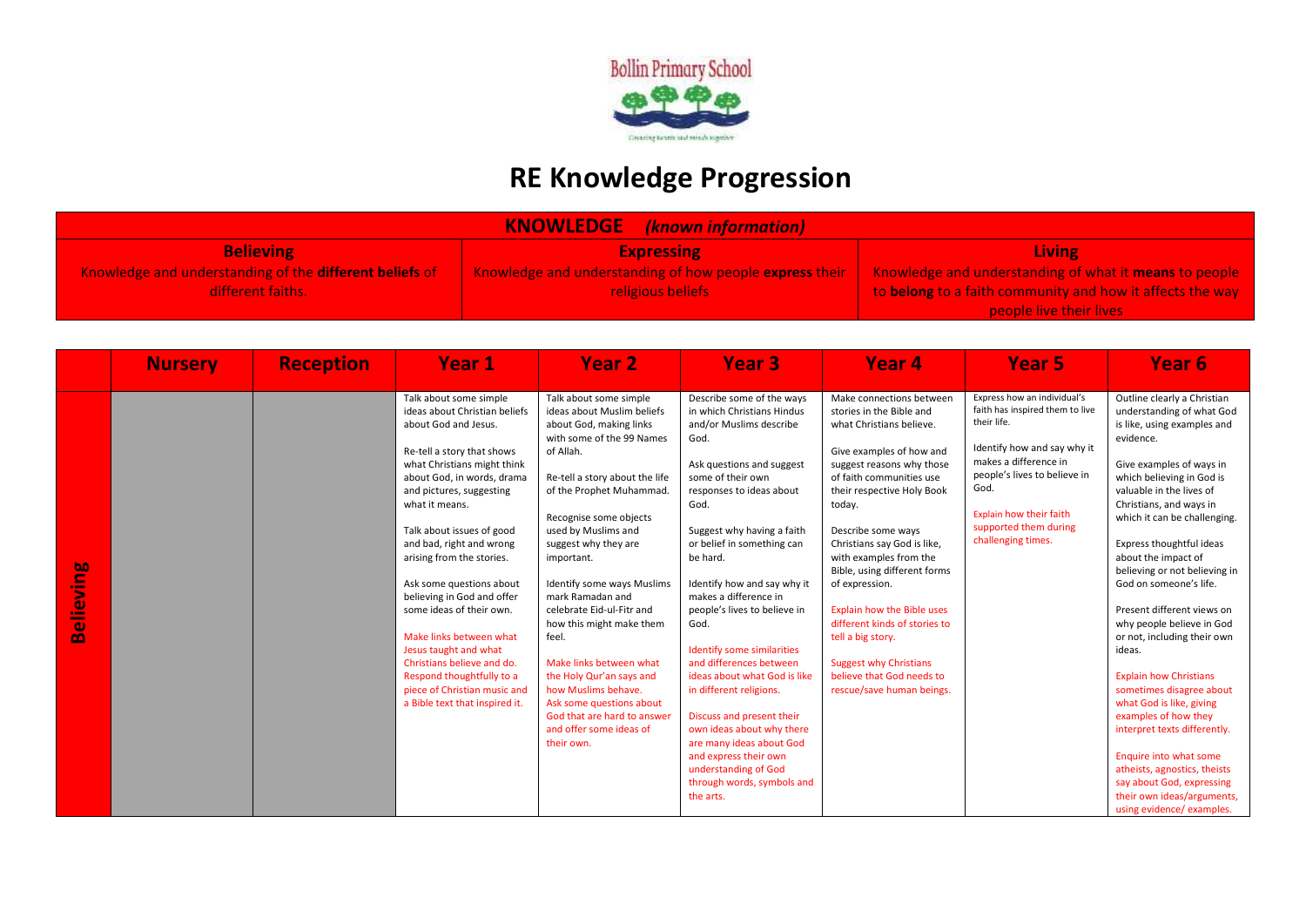

## **RE Knowledge Progression**

| <b>KNOWLEDGE</b><br>(known information)                 |                                                         |                                                           |  |  |  |  |
|---------------------------------------------------------|---------------------------------------------------------|-----------------------------------------------------------|--|--|--|--|
| <b>Believing</b>                                        | <b>Expressing</b>                                       | <b>Living</b>                                             |  |  |  |  |
| Knowledge and understanding of the different beliefs of | Knowledge and understanding of how people express their | Knowledge and understanding of what it means to people    |  |  |  |  |
| different faiths.                                       | <b>religious beliefs</b>                                | to belong to a faith community and how it affects the way |  |  |  |  |
|                                                         |                                                         | people live their lives                                   |  |  |  |  |

|                              | <b>Nursery</b> | <b>Reception</b> | Year 1                                                                                                                                                                                                                                                                                                                                                                                                                                                                                                                                                                                | Year <sub>2</sub>                                                                                                                                                                                                                                                                                                                                                                                                                                                                                                                                                                    | <b>Year 3</b>                                                                                                                                                                                                                                                                                                                                                                                                                                                                                                                                                                                                                                                  | Year <sub>4</sub>                                                                                                                                                                                                                                                                                                                                                                                                                                                                                                                    | Year 5                                                                                                                                                                                                                                                  | Year 6                                                                                                                                                                                                                                                                                                                                                                                                                                                                                                                                                                                                                                                                                                                                                                    |
|------------------------------|----------------|------------------|---------------------------------------------------------------------------------------------------------------------------------------------------------------------------------------------------------------------------------------------------------------------------------------------------------------------------------------------------------------------------------------------------------------------------------------------------------------------------------------------------------------------------------------------------------------------------------------|--------------------------------------------------------------------------------------------------------------------------------------------------------------------------------------------------------------------------------------------------------------------------------------------------------------------------------------------------------------------------------------------------------------------------------------------------------------------------------------------------------------------------------------------------------------------------------------|----------------------------------------------------------------------------------------------------------------------------------------------------------------------------------------------------------------------------------------------------------------------------------------------------------------------------------------------------------------------------------------------------------------------------------------------------------------------------------------------------------------------------------------------------------------------------------------------------------------------------------------------------------------|--------------------------------------------------------------------------------------------------------------------------------------------------------------------------------------------------------------------------------------------------------------------------------------------------------------------------------------------------------------------------------------------------------------------------------------------------------------------------------------------------------------------------------------|---------------------------------------------------------------------------------------------------------------------------------------------------------------------------------------------------------------------------------------------------------|---------------------------------------------------------------------------------------------------------------------------------------------------------------------------------------------------------------------------------------------------------------------------------------------------------------------------------------------------------------------------------------------------------------------------------------------------------------------------------------------------------------------------------------------------------------------------------------------------------------------------------------------------------------------------------------------------------------------------------------------------------------------------|
| <u>suiv</u><br><b>Belier</b> |                |                  | Talk about some simple<br>ideas about Christian beliefs<br>about God and Jesus.<br>Re-tell a story that shows<br>what Christians might think<br>about God, in words, drama<br>and pictures, suggesting<br>what it means.<br>Talk about issues of good<br>and bad, right and wrong<br>arising from the stories.<br>Ask some questions about<br>believing in God and offer<br>some ideas of their own.<br>Make links between what<br>Jesus taught and what<br>Christians believe and do.<br>Respond thoughtfully to a<br>piece of Christian music and<br>a Bible text that inspired it. | Talk about some simple<br>ideas about Muslim beliefs<br>about God, making links<br>with some of the 99 Names<br>of Allah.<br>Re-tell a story about the life<br>of the Prophet Muhammad.<br>Recognise some objects<br>used by Muslims and<br>suggest why they are<br>important.<br>Identify some ways Muslims<br>mark Ramadan and<br>celebrate Eid-ul-Fitr and<br>how this might make them<br>feel.<br>Make links between what<br>the Holy Qur'an says and<br>how Muslims behave.<br>Ask some questions about<br>God that are hard to answer<br>and offer some ideas of<br>their own. | Describe some of the ways<br>in which Christians Hindus<br>and/or Muslims describe<br>God.<br>Ask questions and suggest<br>some of their own<br>responses to ideas about<br>God.<br>Suggest why having a faith<br>or belief in something can<br>be hard.<br>Identify how and say why it<br>makes a difference in<br>people's lives to believe in<br>God.<br>Identify some similarities<br>and differences between<br>ideas about what God is like<br>in different religions.<br>Discuss and present their<br>own ideas about why there<br>are many ideas about God<br>and express their own<br>understanding of God<br>through words, symbols and<br>the arts. | Make connections between<br>stories in the Bible and<br>what Christians believe.<br>Give examples of how and<br>suggest reasons why those<br>of faith communities use<br>their respective Holy Book<br>today.<br>Describe some ways<br>Christians say God is like,<br>with examples from the<br>Bible, using different forms<br>of expression.<br><b>Explain how the Bible uses</b><br>different kinds of stories to<br>tell a big story.<br><b>Suggest why Christians</b><br>believe that God needs to<br>rescue/save human beings. | Express how an individual's<br>faith has inspired them to live<br>their life.<br>Identify how and say why it<br>makes a difference in<br>people's lives to believe in<br>God.<br>Explain how their faith<br>supported them during<br>challenging times. | Outline clearly a Christian<br>understanding of what God<br>is like, using examples and<br>evidence.<br>Give examples of ways in<br>which believing in God is<br>valuable in the lives of<br>Christians, and ways in<br>which it can be challenging.<br>Express thoughtful ideas<br>about the impact of<br>believing or not believing in<br>God on someone's life.<br>Present different views on<br>why people believe in God<br>or not, including their own<br>ideas.<br><b>Explain how Christians</b><br>sometimes disagree about<br>what God is like, giving<br>examples of how they<br>interpret texts differently.<br>Enquire into what some<br>atheists, agnostics, theists<br>say about God, expressing<br>their own ideas/arguments,<br>using evidence/ examples. |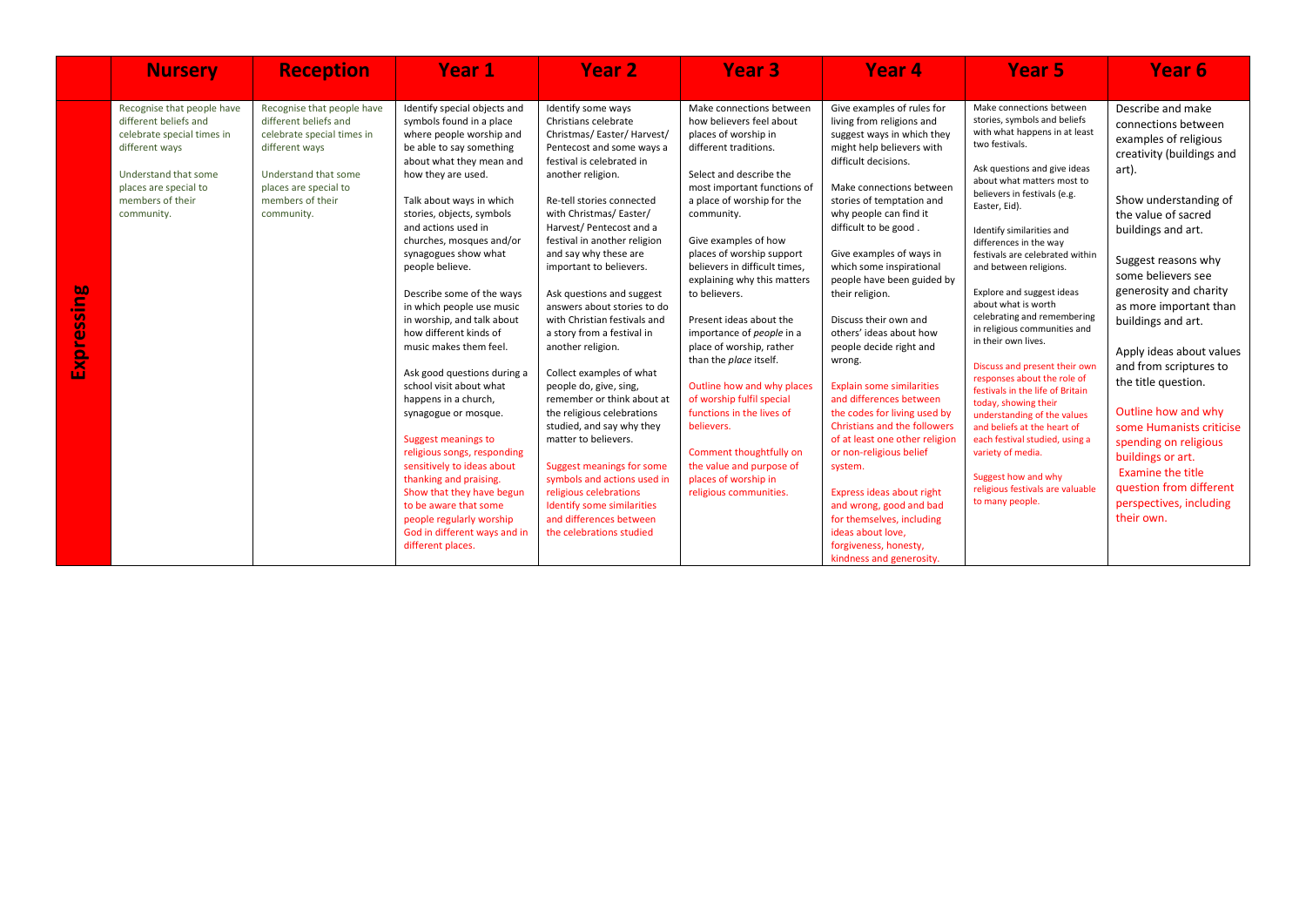|                     | <b>Nursery</b>                                                                                                                                                                         | <b>Reception</b>                                                                                                                                                                       | <b>Year 1</b>                                                                                                                                                                                                                                                                                                                                                                                                                                                                                                                                                                                                                                                                                                                                                                                                                        | Year <sub>2</sub>                                                                                                                                                                                                                                                                                                                                                                                                                                                                                                                                                                                                                                                                                                                                                                                                              | <b>Year 3</b>                                                                                                                                                                                                                                                                                                                                                                                                                                                                                                                                                                                                                                                                  | Year <sub>4</sub>                                                                                                                                                                                                                                                                                                                                                                                                                                                                                                                                                                                                                                                                                                                                                                                                                     | Year 5                                                                                                                                                                                                                                                                                                                                                                                                                                                                                                                                                                                                                                                                                                                                                                                                                  | Year 6                                                                                                                                                                                                                                                                                                                                                                                                                                                                                                                                                                             |
|---------------------|----------------------------------------------------------------------------------------------------------------------------------------------------------------------------------------|----------------------------------------------------------------------------------------------------------------------------------------------------------------------------------------|--------------------------------------------------------------------------------------------------------------------------------------------------------------------------------------------------------------------------------------------------------------------------------------------------------------------------------------------------------------------------------------------------------------------------------------------------------------------------------------------------------------------------------------------------------------------------------------------------------------------------------------------------------------------------------------------------------------------------------------------------------------------------------------------------------------------------------------|--------------------------------------------------------------------------------------------------------------------------------------------------------------------------------------------------------------------------------------------------------------------------------------------------------------------------------------------------------------------------------------------------------------------------------------------------------------------------------------------------------------------------------------------------------------------------------------------------------------------------------------------------------------------------------------------------------------------------------------------------------------------------------------------------------------------------------|--------------------------------------------------------------------------------------------------------------------------------------------------------------------------------------------------------------------------------------------------------------------------------------------------------------------------------------------------------------------------------------------------------------------------------------------------------------------------------------------------------------------------------------------------------------------------------------------------------------------------------------------------------------------------------|---------------------------------------------------------------------------------------------------------------------------------------------------------------------------------------------------------------------------------------------------------------------------------------------------------------------------------------------------------------------------------------------------------------------------------------------------------------------------------------------------------------------------------------------------------------------------------------------------------------------------------------------------------------------------------------------------------------------------------------------------------------------------------------------------------------------------------------|-------------------------------------------------------------------------------------------------------------------------------------------------------------------------------------------------------------------------------------------------------------------------------------------------------------------------------------------------------------------------------------------------------------------------------------------------------------------------------------------------------------------------------------------------------------------------------------------------------------------------------------------------------------------------------------------------------------------------------------------------------------------------------------------------------------------------|------------------------------------------------------------------------------------------------------------------------------------------------------------------------------------------------------------------------------------------------------------------------------------------------------------------------------------------------------------------------------------------------------------------------------------------------------------------------------------------------------------------------------------------------------------------------------------|
| sing<br>S<br>Expre: | Recognise that people have<br>different beliefs and<br>celebrate special times in<br>different ways<br>Understand that some<br>places are special to<br>members of their<br>community. | Recognise that people have<br>different beliefs and<br>celebrate special times in<br>different ways<br>Understand that some<br>places are special to<br>members of their<br>community. | Identify special objects and<br>symbols found in a place<br>where people worship and<br>be able to say something<br>about what they mean and<br>how they are used.<br>Talk about ways in which<br>stories, objects, symbols<br>and actions used in<br>churches, mosques and/or<br>synagogues show what<br>people believe.<br>Describe some of the ways<br>in which people use music<br>in worship, and talk about<br>how different kinds of<br>music makes them feel.<br>Ask good questions during a<br>school visit about what<br>happens in a church,<br>synagogue or mosque.<br>Suggest meanings to<br>religious songs, responding<br>sensitively to ideas about<br>thanking and praising.<br>Show that they have begun<br>to be aware that some<br>people regularly worship<br>God in different ways and in<br>different places. | Identify some ways<br>Christians celebrate<br>Christmas/Easter/Harvest/<br>Pentecost and some ways a<br>festival is celebrated in<br>another religion.<br>Re-tell stories connected<br>with Christmas/ Easter/<br>Harvest/Pentecost and a<br>festival in another religion<br>and say why these are<br>important to believers.<br>Ask questions and suggest<br>answers about stories to do<br>with Christian festivals and<br>a story from a festival in<br>another religion.<br>Collect examples of what<br>people do, give, sing,<br>remember or think about at<br>the religious celebrations<br>studied, and say why they<br>matter to believers.<br>Suggest meanings for some<br>symbols and actions used in<br>religious celebrations<br>Identify some similarities<br>and differences between<br>the celebrations studied | Make connections between<br>how believers feel about<br>places of worship in<br>different traditions.<br>Select and describe the<br>most important functions of<br>a place of worship for the<br>community.<br>Give examples of how<br>places of worship support<br>believers in difficult times,<br>explaining why this matters<br>to believers.<br>Present ideas about the<br>importance of people in a<br>place of worship, rather<br>than the place itself.<br>Outline how and why places<br>of worship fulfil special<br>functions in the lives of<br>believers.<br>Comment thoughtfully on<br>the value and purpose of<br>places of worship in<br>religious communities. | Give examples of rules for<br>living from religions and<br>suggest ways in which they<br>might help believers with<br>difficult decisions.<br>Make connections between<br>stories of temptation and<br>why people can find it<br>difficult to be good.<br>Give examples of ways in<br>which some inspirational<br>people have been guided by<br>their religion.<br>Discuss their own and<br>others' ideas about how<br>people decide right and<br>wrong.<br><b>Explain some similarities</b><br>and differences between<br>the codes for living used by<br><b>Christians and the followers</b><br>of at least one other religion<br>or non-religious belief<br>system.<br>Express ideas about right<br>and wrong, good and bad<br>for themselves, including<br>ideas about love,<br>forgiveness, honesty,<br>kindness and generosity. | Make connections between<br>stories, symbols and beliefs<br>with what happens in at least<br>two festivals.<br>Ask questions and give ideas<br>about what matters most to<br>believers in festivals (e.g.<br>Easter, Eid).<br>Identify similarities and<br>differences in the way<br>festivals are celebrated within<br>and between religions.<br>Explore and suggest ideas<br>about what is worth<br>celebrating and remembering<br>in religious communities and<br>in their own lives.<br>Discuss and present their own<br>responses about the role of<br>festivals in the life of Britain<br>today, showing their<br>understanding of the values<br>and beliefs at the heart of<br>each festival studied, using a<br>variety of media.<br>Suggest how and why<br>religious festivals are valuable<br>to many people. | Describe and make<br>connections between<br>examples of religious<br>creativity (buildings and<br>art).<br>Show understanding of<br>the value of sacred<br>buildings and art.<br>Suggest reasons why<br>some believers see<br>generosity and charity<br>as more important than<br>buildings and art.<br>Apply ideas about values<br>and from scriptures to<br>the title question.<br>Outline how and why<br>some Humanists criticise<br>spending on religious<br>buildings or art.<br><b>Examine the title</b><br>question from different<br>perspectives, including<br>their own. |